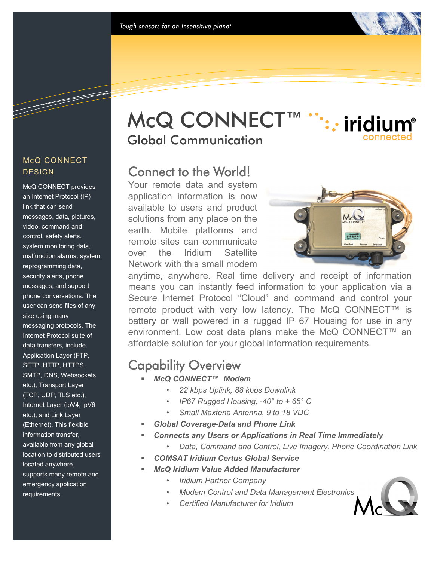## McQ CONNECT™ :: iridium® Global Communication

## Connect to the World!

Your remote data and system application information is now available to users and product solutions from any place on the earth. Mobile platforms and remote sites can communicate over the Iridium Satellite Network with this small modem



anytime, anywhere. Real time delivery and receipt of information means you can instantly feed information to your application via a Secure Internet Protocol "Cloud" and command and control your remote product with very low latency. The McQ CONNECT™ is battery or wall powered in a rugged IP 67 Housing for use in any environment. Low cost data plans make the McQ CONNECT<sup>™</sup> an affordable solution for your global information requirements.

# Capability Overview

- *McQ CONNECT™ Modem*
	- *22 kbps Uplink, 88 kbps Downlink*
	- *IP67 Rugged Housing, -40° to + 65° C*
	- *Small Maxtena Antenna, 9 to 18 VDC*
- *Global Coverage-Data and Phone Link*
- *Connects any Users or Applications in Real Time Immediately* 
	- *Data, Command and Control, Live Imagery, Phone Coordination Link*
- *COMSAT Iridium Certus Global Service*
- *McQ Iridium Value Added Manufacturer*
	- *Iridium Partner Company*
	- *Modem Control and Data Management Electronics*
	- *Certified Manufacturer for Iridium*



## McQ CONNECT **DESIGN**

McQ CONNECT provides an Internet Protocol (IP) link that can send messages, data, pictures, video, command and control, safety alerts, system monitoring data, malfunction alarms, system reprogramming data, security alerts, phone messages, and support phone conversations. The user can send files of any size using many messaging protocols. The Internet Protocol suite of data transfers, include Application Layer (FTP, SFTP, HTTP, HTTPS, SMTP, DNS, Websockets etc.), Transport Layer (TCP, UDP, TLS etc.), Internet Layer (ipV4, ipV6 etc.), and Link Layer (Ethernet). This flexible information transfer, available from any global location to distributed users located anywhere, supports many remote and emergency application requirements.